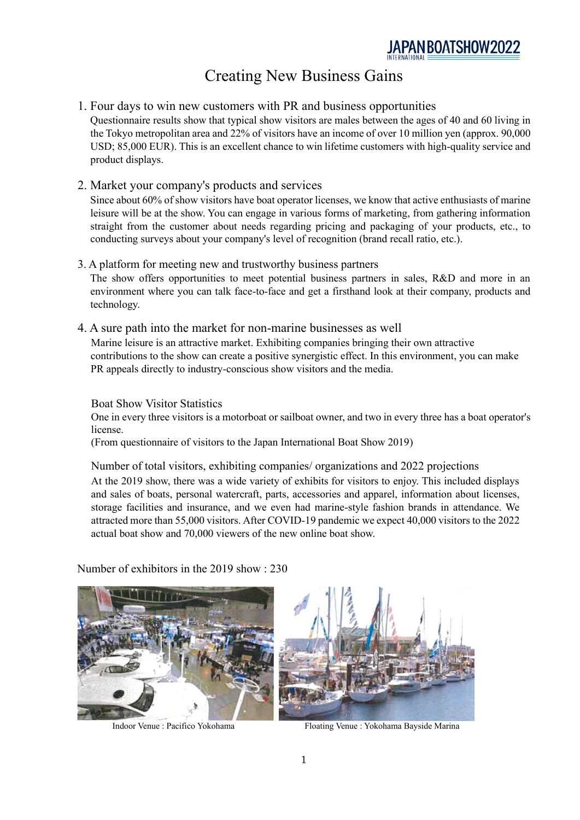# Creating New Business Gains

- 1. Four days to win new customers with PR and business opportunities Questionnaire results show that typical show visitors are males between the ages of 40 and 60 living in the Tokyo metropolitan area and 22% of visitors have an income of over 10 million yen (approx. 90,000 USD; 85,000 EUR). This is an excellent chance to win lifetime customers with high-quality service and product displays.
- 2. Market your company's products and services

Since about 60% of show visitors have boat operator licenses, we know that active enthusiasts of marine leisure will be at the show. You can engage in various forms of marketing, from gathering information straight from the customer about needs regarding pricing and packaging of your products, etc., to conducting surveys about your company's level of recognition (brand recall ratio, etc.).

- 3. A platform for meeting new and trustworthy business partners The show offers opportunities to meet potential business partners in sales, R&D and more in an environment where you can talk face-to-face and get a firsthand look at their company, products and technology.
- 4. A sure path into the market for non-marine businesses as well Marine leisure is an attractive market. Exhibiting companies bringing their own attractive contributions to the show can create a positive synergistic effect. In this environment, you can make PR appeals directly to industry-conscious show visitors and the media.

Boat Show Visitor Statistics

One in every three visitors is a motorboat or sailboat owner, and two in every three has a boat operator's license.

(From questionnaire of visitors to the Japan International Boat Show 2019)

Number of total visitors, exhibiting companies/ organizations and 2022 projections At the 2019 show, there was a wide variety of exhibits for visitors to enjoy. This included displays and sales of boats, personal watercraft, parts, accessories and apparel, information about licenses, storage facilities and insurance, and we even had marine-style fashion brands in attendance. We attracted more than 55,000 visitors. After COVID-19 pandemic we expect 40,000 visitors to the 2022 actual boat show and 70,000 viewers of the new online boat show.

Number of exhibitors in the 2019 show : 230



Indoor Venue : Pacifico Yokohama Floating Venue : Yokohama Bayside Marina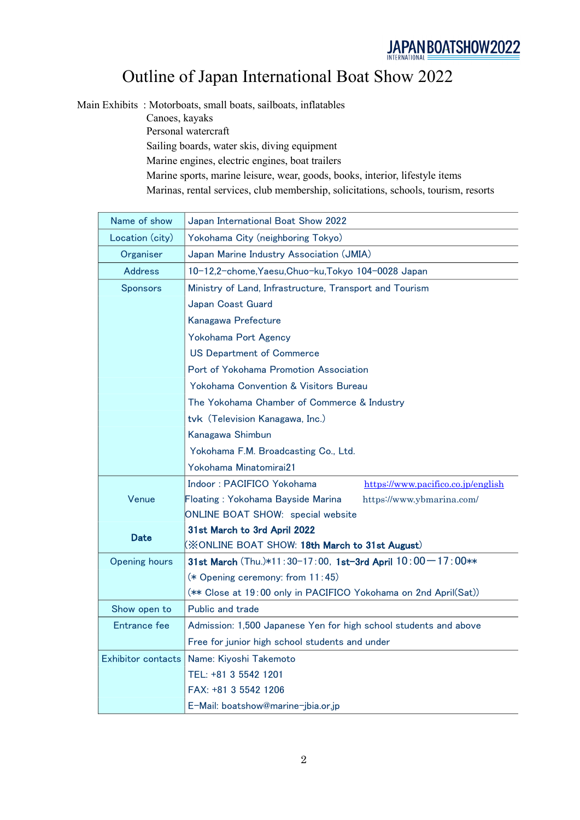# Outline of Japan International Boat Show 2022

Main Exhibits : Motorboats, small boats, sailboats, inflatables

Canoes, kayaks Personal watercraft Sailing boards, water skis, diving equipment Marine engines, electric engines, boat trailers Marine sports, marine leisure, wear, goods, books, interior, lifestyle items Marinas, rental services, club membership, solicitations, schools, tourism, resorts

| Name of show              | Japan International Boat Show 2022                               |  |  |
|---------------------------|------------------------------------------------------------------|--|--|
| Location (city)           | Yokohama City (neighboring Tokyo)                                |  |  |
| Organiser                 | Japan Marine Industry Association (JMIA)                         |  |  |
| <b>Address</b>            | 10-12,2-chome, Yaesu, Chuo-ku, Tokyo 104-0028 Japan              |  |  |
| <b>Sponsors</b>           | Ministry of Land, Infrastructure, Transport and Tourism          |  |  |
|                           | Japan Coast Guard                                                |  |  |
|                           | Kanagawa Prefecture                                              |  |  |
|                           | Yokohama Port Agency                                             |  |  |
|                           | <b>US Department of Commerce</b>                                 |  |  |
|                           | Port of Yokohama Promotion Association                           |  |  |
|                           | <b>Yokohama Convention &amp; Visitors Bureau</b>                 |  |  |
|                           | The Yokohama Chamber of Commerce & Industry                      |  |  |
|                           | tvk (Television Kanagawa, Inc.)                                  |  |  |
|                           | Kanagawa Shimbun                                                 |  |  |
|                           | Yokohama F.M. Broadcasting Co., Ltd.                             |  |  |
|                           | Yokohama Minatomirai21                                           |  |  |
|                           | Indoor: PACIFICO Yokohama<br>https://www.pacifico.co.jp/english  |  |  |
| Venue                     | Floating: Yokohama Bayside Marina<br>https://www.ybmarina.com/   |  |  |
|                           | ONLINE BOAT SHOW: special website                                |  |  |
| <b>Date</b>               | 31st March to 3rd April 2022                                     |  |  |
|                           | (XONLINE BOAT SHOW: 18th March to 31st August)                   |  |  |
| <b>Opening hours</b>      | 31st March (Thu.)*11:30-17:00, 1st-3rd April 10:00-17:00**       |  |  |
|                           | (* Opening ceremony: from 11:45)                                 |  |  |
|                           | (** Close at 19:00 only in PACIFICO Yokohama on 2nd April(Sat))  |  |  |
| Show open to              | Public and trade                                                 |  |  |
| Entrance fee              | Admission: 1,500 Japanese Yen for high school students and above |  |  |
|                           | Free for junior high school students and under                   |  |  |
| <b>Exhibitor contacts</b> | Name: Kiyoshi Takemoto                                           |  |  |
|                           | TEL: +81 3 5542 1201                                             |  |  |
|                           | FAX: +81 3 5542 1206                                             |  |  |
|                           | E-Mail: boatshow@marine-jbia.or.jp                               |  |  |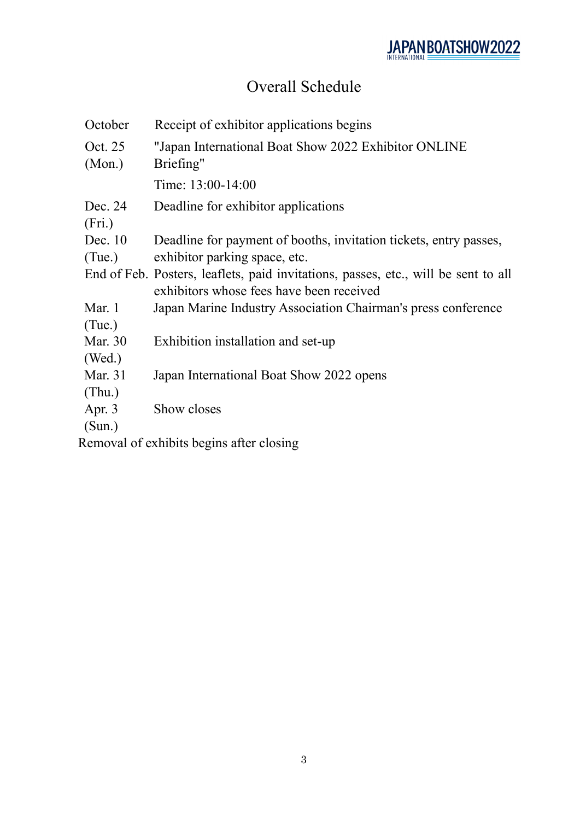# Overall Schedule

| October           | Receipt of exhibitor applications begins                                                                                       |
|-------------------|--------------------------------------------------------------------------------------------------------------------------------|
| Oct. 25<br>(Mon.) | "Japan International Boat Show 2022 Exhibitor ONLINE<br>Briefing"                                                              |
|                   | Time: 13:00-14:00                                                                                                              |
| Dec. 24<br>(Fri.) | Deadline for exhibitor applications                                                                                            |
| Dec. 10           | Deadline for payment of booths, invitation tickets, entry passes,                                                              |
| (Tue.)            | exhibitor parking space, etc.                                                                                                  |
|                   | End of Feb. Posters, leaflets, paid invitations, passes, etc., will be sent to all<br>exhibitors whose fees have been received |
| Mar. 1            | Japan Marine Industry Association Chairman's press conference                                                                  |
| (Tue.)            |                                                                                                                                |
| Mar. 30           | Exhibition installation and set-up                                                                                             |
| (Wed.)            |                                                                                                                                |
| Mar. 31           | Japan International Boat Show 2022 opens                                                                                       |
| (Thu.)            |                                                                                                                                |
| Apr. $3$          | Show closes                                                                                                                    |
| (Sun.)            |                                                                                                                                |

Removal of exhibits begins after closing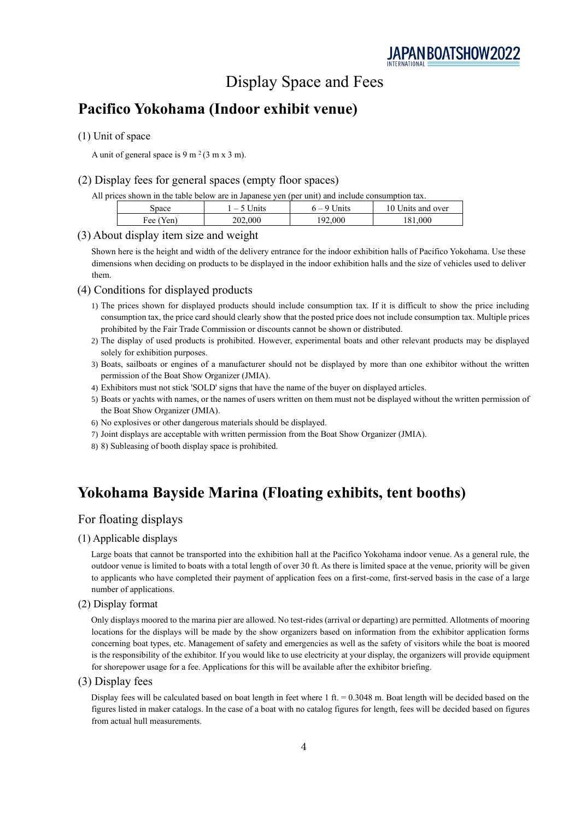## Display Space and Fees

### **Pacifico Yokohama (Indoor exhibit venue)**

#### (1) Unit of space

A unit of general space is 9 m<sup>2</sup>(3 m x 3 m).

#### (2) Display fees for general spaces (empty floor spaces)

All prices shown in the table below are in Japanese yen (per unit) and include consumption tax.

| snace        | Jnits<br>$\overline{\phantom{m}}$ | nits  | 10.<br>Jnits and over |
|--------------|-----------------------------------|-------|-----------------------|
| Fee (<br>Van | 202,000                           | 2.000 | 000                   |

#### (3) About display item size and weight

Shown here is the height and width of the delivery entrance for the indoor exhibition halls of Pacifico Yokohama. Use these dimensions when deciding on products to be displayed in the indoor exhibition halls and the size of vehicles used to deliver them.

#### (4) Conditions for displayed products

- 1) The prices shown for displayed products should include consumption tax. If it is difficult to show the price including consumption tax, the price card should clearly show that the posted price does not include consumption tax. Multiple prices prohibited by the Fair Trade Commission or discounts cannot be shown or distributed.
- 2) The display of used products is prohibited. However, experimental boats and other relevant products may be displayed solely for exhibition purposes.
- 3) Boats, sailboats or engines of a manufacturer should not be displayed by more than one exhibitor without the written permission of the Boat Show Organizer (JMIA).
- 4) Exhibitors must not stick 'SOLD' signs that have the name of the buyer on displayed articles.
- 5) Boats or yachts with names, or the names of users written on them must not be displayed without the written permission of the Boat Show Organizer (JMIA).
- 6) No explosives or other dangerous materials should be displayed.
- 7) Joint displays are acceptable with written permission from the Boat Show Organizer (JMIA).
- 8) 8) Subleasing of booth display space is prohibited.

### **Yokohama Bayside Marina (Floating exhibits, tent booths)**

#### For floating displays

#### (1) Applicable displays

Large boats that cannot be transported into the exhibition hall at the Pacifico Yokohama indoor venue. As a general rule, the outdoor venue is limited to boats with a total length of over 30 ft. As there is limited space at the venue, priority will be given to applicants who have completed their payment of application fees on a first-come, first-served basis in the case of a large number of applications.

#### (2) Display format

Only displays moored to the marina pier are allowed. No test-rides (arrival or departing) are permitted. Allotments of mooring locations for the displays will be made by the show organizers based on information from the exhibitor application forms concerning boat types, etc. Management of safety and emergencies as well as the safety of visitors while the boat is moored is the responsibility of the exhibitor. If you would like to use electricity at your display, the organizers will provide equipment for shorepower usage for a fee. Applications for this will be available after the exhibitor briefing.

(3) Display fees

Display fees will be calculated based on boat length in feet where 1 ft. = 0.3048 m. Boat length will be decided based on the figures listed in maker catalogs. In the case of a boat with no catalog figures for length, fees will be decided based on figures from actual hull measurements.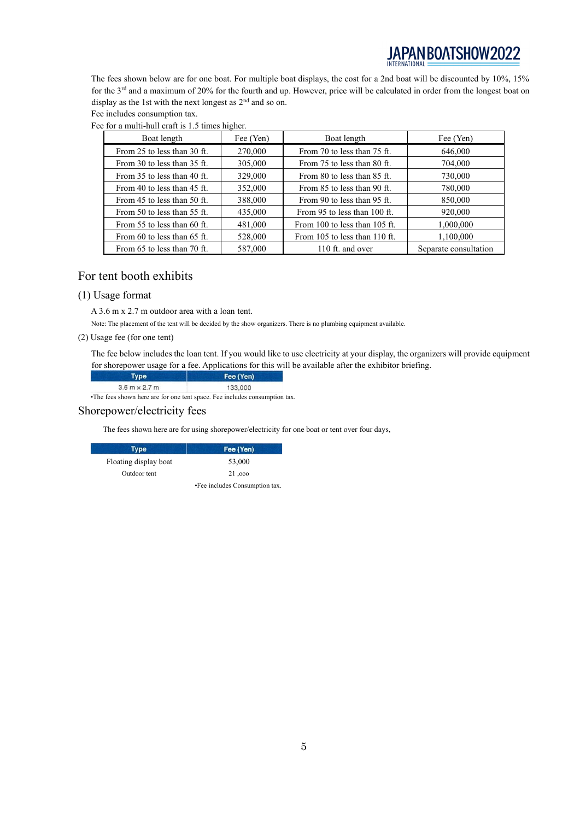# JAPAN BOATSHOW2022

The fees shown below are for one boat. For multiple boat displays, the cost for a 2nd boat will be discounted by 10%, 15% for the 3rd and a maximum of 20% for the fourth and up. However, price will be calculated in order from the longest boat on display as the 1st with the next longest as 2<sup>nd</sup> and so on.

Fee includes consumption tax.

| Boat length                     | Fee (Yen) | Boat length                       | Fee (Yen)             |
|---------------------------------|-----------|-----------------------------------|-----------------------|
| From 25 to less than 30 ft.     | 270,000   | From 70 to less than 75 ft.       | 646,000               |
| From 30 to less than 35 ft.     | 305,000   | From 75 to less than 80 ft.       | 704,000               |
| From 35 to less than 40 ft.     | 329,000   | From 80 to less than 85 ft.       | 730,000               |
| From 40 to less than 45 ft.     | 352,000   | From 85 to less than 90 ft.       | 780,000               |
| From 45 to less than 50 ft.     | 388,000   | From 90 to less than 95 ft.       | 850,000               |
| From 50 to less than 55 ft.     | 435,000   | From 95 to less than 100 ft.      | 920,000               |
| From 55 to less than 60 ft.     | 481,000   | From 100 to less than 105 ft.     | 1,000,000             |
| From $60$ to less than $65$ ft. | 528,000   | From $105$ to less than $110$ ft. | 1,100,000             |
| From 65 to less than 70 ft.     | 587,000   | 110 ft. and over                  | Separate consultation |

Fee for a multi-hull craft is 1.5 times higher.

#### For tent booth exhibits

#### (1) Usage format

A 3.6 m x 2.7 m outdoor area with a loan tent.

Note: The placement of the tent will be decided by the show organizers. There is no plumbing equipment available.

(2) Usage fee (for one tent)

The fee below includes the loan tent. If you would like to use electricity at your display, the organizers will provide equipment for shorepower usage for a fee. Applications for this will be available after the exhibitor briefing.

| Type                              |                        | Fee (Yen) |  |
|-----------------------------------|------------------------|-----------|--|
|                                   | $3.6$ m $\times$ 2.7 m | 133,000   |  |
| <b>Contract Contract Contract</b> |                        |           |  |

•The fees shown here are for one tent space. Fee includes consumption tax.

#### Shorepower/electricity fees

The fees shown here are for using shorepower/electricity for one boat or tent over four days,

| Type                  | Fee (Yen)                      |
|-----------------------|--------------------------------|
| Floating display boat | 53,000                         |
| Outdoor tent          | 21,000                         |
|                       | •Fee includes Consumption tax. |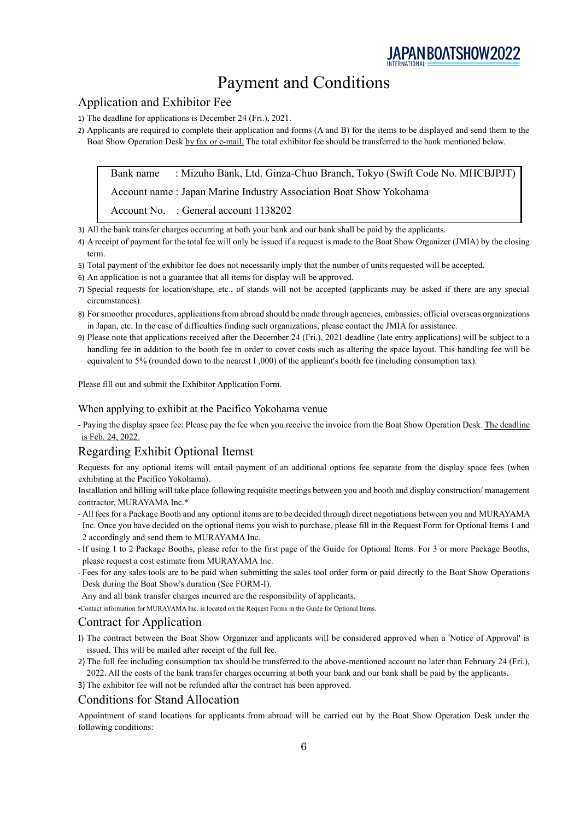

### Payment and Conditions

#### Application and Exhibitor Fee

- 1) The deadline for applications is December 24 (Fri.), 2021.
- 2) Applicants are required to complete their application and forms (A and B) for the items to be displayed and send them to the Boat Show Operation Desk by fax or e-mail. The total exhibitor fee should be transferred to the bank mentioned below.

Bank name : Mizuho Bank, Ltd. Ginza-Chuo Branch, Tokyo (Swift Code No. MHCBJPJT)

Account name : Japan Marine Industry Association Boat Show Yokohama

Account No. : General account 1138202

3) All the bank transfer charges occurring at both your bank and our bank shall be paid by the applicants.

- 4) A receipt of payment for the total fee will only be issued if a request is made to the Boat Show Organizer (JMIA) by the closing term.
- 5) Total payment of the exhibitor fee does not necessarily imply that the number of units requested will be accepted.
- 6) An application is not a guarantee that all items for display will be approved.
- 7) Special requests for location/shape, etc., of stands will not be accepted (applicants may be asked if there are any special circumstances).
- 8) For smoother procedures, applications from abroad should be made through agencies, embassies, official overseas organizations in Japan, etc. In the case of difficulties finding such organizations, please contact the JMIA for assistance.
- 9) Please note that applications received after the December 24 (Fri.), 2021 deadline (late entry applications) will be subject to a handling fee in addition to the booth fee in order to cover costs such as altering the space layout. This handling fee will be equivalent to 5% (rounded down to the nearest I ,000) of the applicant's booth fee (including consumption tax).

Please fill out and submit the Exhibitor Application Form.

#### When applying to exhibit at the Pacifico Yokohama venue

- Paying the display space fee: Please pay the fee when you receive the invoice from the Boat Show Operation Desk. The deadline is Feb. 24, 2022.

#### Regarding Exhibit Optional Itemst

Requests for any optional items will entail payment of an additional options fee separate from the display space fees (when exhibiting at the Pacifico Yokohama).

Installation and billing will take place following requisite meetings between you and booth and display construction/ management contractor, MURAYAMA Inc.\*

- All fees for a Package Booth and any optional items are to be decided through direct negotiations between you and MURAYAMA Inc. Once you have decided on the optional items you wish to purchase, please fill in the Request Form for Optional Items 1 and 2 accordingly and send them to MURAYAMA Inc.
- If using 1 to 2 Package Booths, please refer to the first page of the Guide for Optional Items. For 3 or more Package Booths, please request a cost estimate from MURAYAMA Inc.
- Fees for any sales tools are to be paid when submitting the sales tool order form or paid directly to the Boat Show Operations Desk during the Boat Show's duration (See FORM-I).

Any and all bank transfer charges incurred are the responsibility of applicants.

•Contact information for MURAYAMA Inc. is located on the Request Forms in the Guide for Optional Items.

#### Contract for Application

- I) The contract between the Boat Show Organizer and applicants will be considered approved when a 'Notice of Approval' is issued. This will be mailed after receipt of the full fee.
- 2) The full fee including consumption tax should be transferred to the above-mentioned account no later than February 24 (Fri.), 2022. All the costs of the bank transfer charges occurring at both your bank and our bank shall be paid by the applicants.
- 3) The exhibitor fee will not be refunded after the contract has been approved.

#### Conditions for Stand Allocation

Appointment of stand locations for applicants from abroad will be carried out by the Boat Show Operation Desk under the following conditions: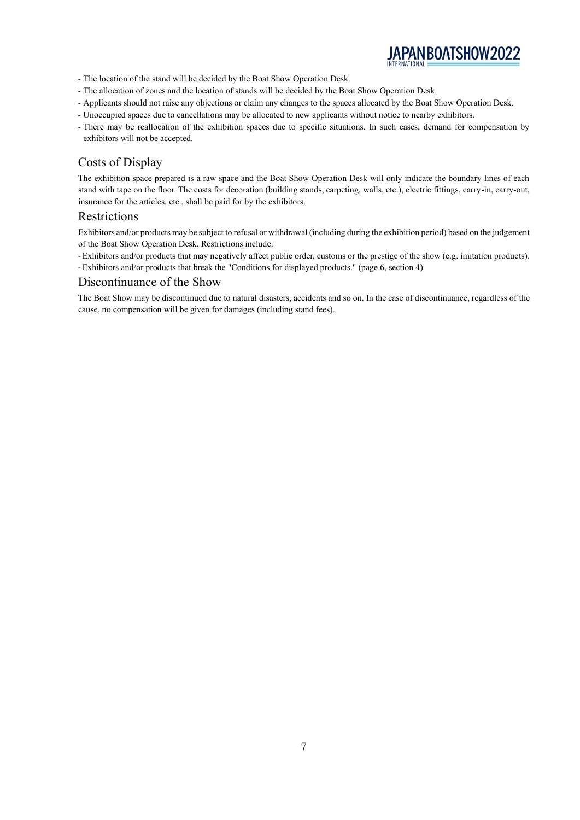

- The location of the stand will be decided by the Boat Show Operation Desk.
- The allocation of zones and the location of stands will be decided by the Boat Show Operation Desk.
- Applicants should not raise any objections or claim any changes to the spaces allocated by the Boat Show Operation Desk.
- Unoccupied spaces due to cancellations may be allocated to new applicants without notice to nearby exhibitors.
- There may be reallocation of the exhibition spaces due to specific situations. In such cases, demand for compensation by exhibitors will not be accepted.

#### Costs of Display

The exhibition space prepared is a raw space and the Boat Show Operation Desk will only indicate the boundary lines of each stand with tape on the floor. The costs for decoration (building stands, carpeting, walls, etc.), electric fittings, carry-in, carry-out, insurance for the articles, etc., shall be paid for by the exhibitors.

#### Restrictions

Exhibitors and/or products may be subject to refusal or withdrawal (including during the exhibition period) based on the judgement of the Boat Show Operation Desk. Restrictions include:

- Exhibitors and/or products that may negatively affect public order, customs or the prestige of the show (e.g. imitation products).

- Exhibitors and/or products that break the "Conditions for displayed products." (page 6, section 4)

#### Discontinuance of the Show

The Boat Show may be discontinued due to natural disasters, accidents and so on. In the case of discontinuance, regardless of the cause, no compensation will be given for damages (including stand fees).